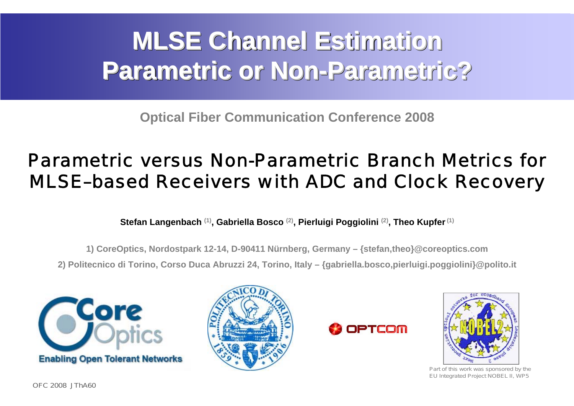# **MLSE Channel Estimation MLSE Channel Estimation MLSE Channel Estimation Parametric or Non-Parametric? Parametric or Non Parametric or Non-Parametric? Parametric?**

**Optical Fiber Communication Conference 2008**

# Parametric versus Non-Parametric Branch Metrics for MLSE–based Receivers with ADC and Clock Recovery

**Stefan Langenbach (1), Gabriella Bosco (2), Pierluigi Poggiolini (2), Theo Kupfer(1)**

**1) CoreOptics, Nordostpark 12-14, D-90411 Nürnberg, Germany – {stefan,theo}@coreoptics.com**

**2) Politecnico di Torino, Corso Duca Abruzzi 24, Torino, Italy – {gabriella.bosco,pierluigi.poggiolini}@polito.it**









Part of this work was sponsored by the EU Integrated Project NOBEL II, WP5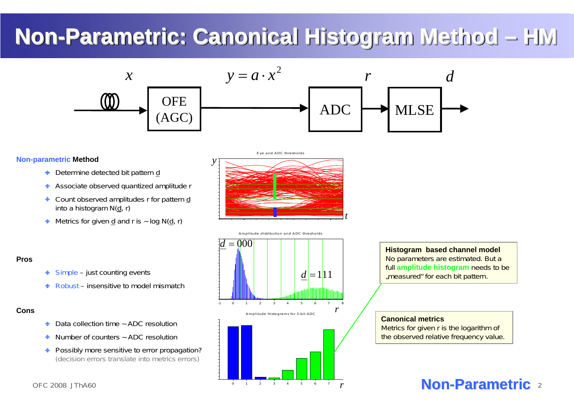# **Non-Parametric: Canonical Histogram Method – HM -Parametric Parametric: Canonical Histogram Method Canonical Histogram Method – HM**

Eye and ADC thresholds

- Determine detected bit pattern d
- **Associate observed quantized amplitude r**
- ♦ Count observed amplitudes r for pattern d into a histogram N(d, r)
- $\triangleq$  Metrics for given d and r is  $\sim$  log N(d, r)





### **Non-parametric Method**

- $\triangleq$  Simple just counting events
- Robust insensitive to model mismatch

- Data collection time ~ ADC resolution  $\bigoplus$
- Number of counters  $\sim$  ADC resolution
- **+** Possibly more sensitive to error propagation? (decision errors translate into metrics errors)

**Canonical metrics**Metrics for given <sup>r</sup> is the logarithm of the observed relative frequency value.

**Histogram based channel model** No parameters are estimated. But <sup>a</sup> full **amplitude histogram** needs to be ..measured" for each bit pattern.



### **Pros**

### **Cons**

*y*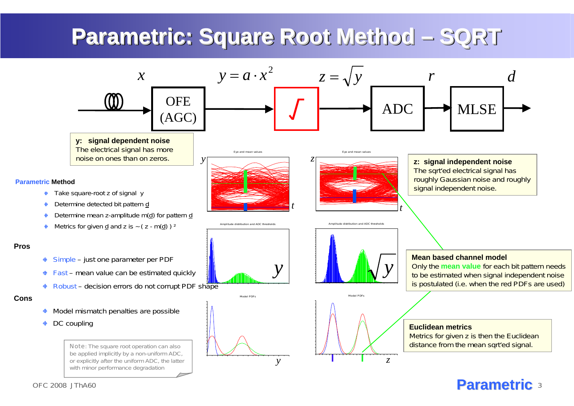# **Parametric Parametric Parametric: Square Root Method – SQRT : Square : Square Root Method Root Method – SQRT**

## 3 **Parametric Parametric**

**Pros**

 $\ddot{\bullet}$ 

 $\ddot{\bullet}$ 

 $\ddot{\Phi}$ 

 $\ddot{\bullet}$ 

 $\bigoplus$ 



**Cons**

Only the **mean value** for each bit pattern needs to be estimated when signal independent noise is postulated (i.e. when the red PDFs are used)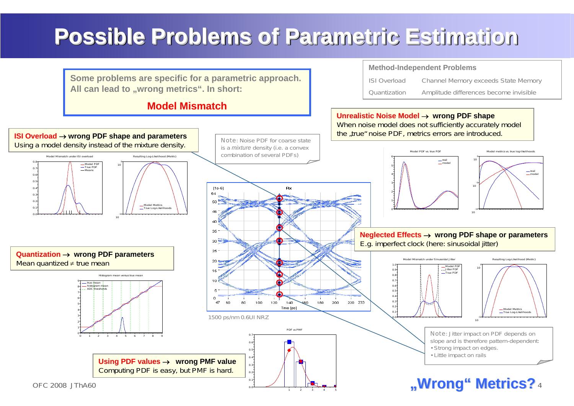

# **Possible Possible Possible Problems of Parametric Estimation Problems of Problems of Parametric Estimation Parametric Estimation**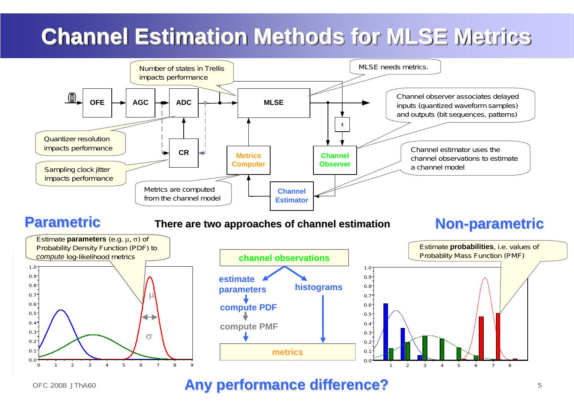## 5 **Any performance difference Any performance difference?**

# **Channel Estimation Methods for Channel Estimation Methods for Channel Estimation Methods for MLSE Metrics MLSE Metrics Metrics**





Channel estimator uses the channel observations to estimatea channel model

Channel observer associates delayed inputs (quantized waveform samples) and outputs (bit sequences, patterns)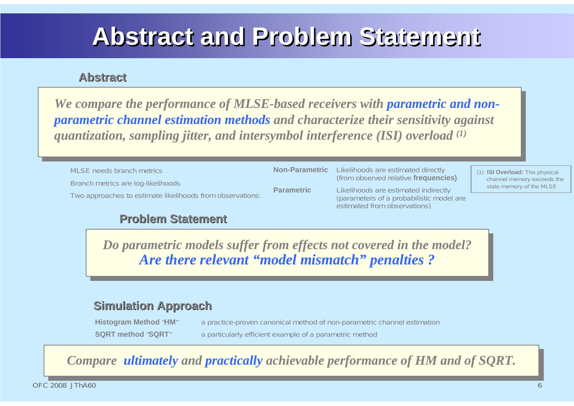**(from observed fraged** 

model are



# **Abstract and Problem Statement Abstract and Problem Statement Abstract and Problem Statement**

| <b>MLSE</b> needs branch metrics                                                                | <b>Non-Parametric</b> | Likelihoods are estimated directly<br>(from observed relative frequencie                                    |
|-------------------------------------------------------------------------------------------------|-----------------------|-------------------------------------------------------------------------------------------------------------|
| Branch metrics are log-likelihoods<br>Two approaches to estimate likelihoods from observations: | <b>Parametric</b>     | Likelihoods are estimated indirectly<br>(parameters of a probabilistic mode<br>estimated from observations) |

**Histogram Method** "**HM**" a practice-proven canonical method of non-parametric channel estimation **SQRT method "SQRT"** a particularly efficient example of a parametric method

*We compare the performance of MLSE-based receivers with parametric and nonparametric channel estimation methods and characterize their sensitivity against quantization, sampling jitter, and intersymbol interference (ISI) overload (1) We compare the performance of MLSE-based receivers with parametric and nonparametric channel estimation methods and characterize their sensitivity against quantization, sampling jitter, and intersymbol interference (ISI) overload (1)*

> *Do parametric models suffer from effects not covered in the model? Are there relevant "model mismatch" penalties ? Do parametric models suffer from effects not covered in the model? Are there relevant "model mismatch" penalties ?*

### **Problem Statement Problem Statement**

### **Abstract Abstract**

## **Simulation Approach Simulation Approach**

(1) **ISI Overload:** The physical channel memory exceeds the state memory of the MLSE



*Compare ultimately and practically achievable performance of HM and of SQRT. Compare ultimately and practically achievable performance of HM and of SQRT.*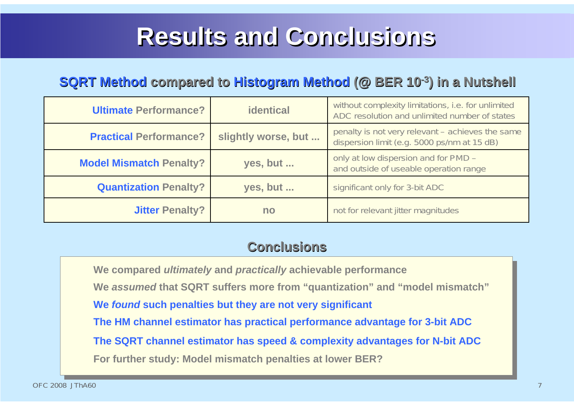# **Results Results Results and Conclusions and Conclusions Conclusions**

**We compared** *ultimately* **and** *practically* **achievable performance We** *assumed* **that SQRT suffers more from "quantization" and "model mismatch" We** *found* **such penalties but they are not very significant The HM channel estimator has practical performance advantage for 3-bit ADC The SQRT channel estimator has speed & complexity advantages for N-bit ADC For further study: Model mismatch penalties at lower BER? We compared** *ultimately* **and** *practically* **achievable performance We** *assumed* **that SQRT suffers more from "quantization" and "model mismatch" We** *found* **such penalties but they are not very significant The HM channel estimator has practical performance advantage for 3-bit ADC The SQRT channel estimator has speed & complexity advantages for N-bit ADC For further study: Model mismatch penalties at lower BER?**



 $nt - ac$ hieves the same

| <b>Ultimate Performance?</b>   | <b>identical</b>    | without complexity limitations, i.e. for unlimited<br>ADC resolution and unlimited number of states |
|--------------------------------|---------------------|-----------------------------------------------------------------------------------------------------|
| <b>Practical Performance?</b>  | slightly worse, but | penalty is not very relevant – achieves the sam<br>dispersion limit (e.g. 5000 ps/nm at 15 dB)      |
| <b>Model Mismatch Penalty?</b> | yes, but            | only at low dispersion and for PMD -<br>and outside of useable operation range                      |
| <b>Quantization Penalty?</b>   | yes, but            | significant only for 3-bit ADC                                                                      |
| <b>Jitter Penalty?</b>         | no                  | not for relevant jitter magnitudes                                                                  |

## **SQRT Method compared to compared to Histogram Histogram Method (@ BER 10 (@ BER 10-3) in a Nutshell in a Nutshell**

## **Conclusions Conclusions**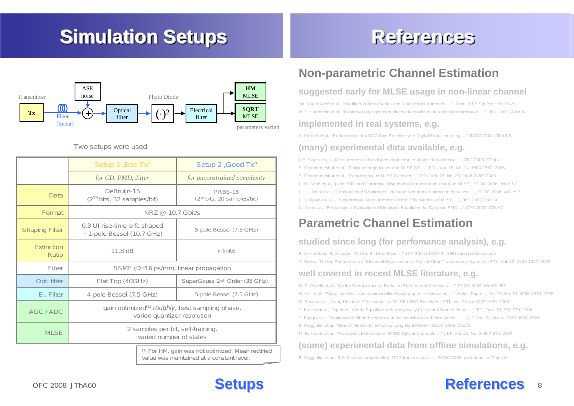# **Simulation Setups Simulation Setups Simulation Setups**

**Setups**



## **References References References**

## **Non-parametric Channel Estimation**

### **suggested early for MLSE usage in non-linear channel**

W. Sauer-Greff et al., "Modified Volterra Series and State Model Approach …", Proc. IEEE Sig Proc 99, 19-23 H. F. Haunstein et al., "Design of near optimum electrical equalizers for optical transmission …", OFC 2001, WAA 4-1

### **implemented in real systems, e.g.**

A. Färbert et al., "Performance of a 10.7 Gb/s Receiver with Digital Equalizer using …", ECOC 2004, Th4.1.5

### **(many) experimental data available, e.g.**

## 8 **References References**

J.P. Elbers et al., "Measurement of the dispersion tolerance of optical duobinary ...", OFC 2005, OThJ4 S. Chandrasekhar et al., "Chirp-managed laser and MLSE-RX ...", PTL, Vol. 18, No. 14, 1560-1562, 2006 S. Chandrasekhar et al., "Performance of MLSE Receiver ...", PTL, Vol. 18, No. 23, 2448-2450, 2006 J. M. Gené et al., "Joint PMD and Chromatic Dispersion Compensation Using an MLSE", ECOC 2006 , We2.5.2 I. L. L. Polo et al., "Comparison of Maximum Likelihood Sequence Estimation equalizer ...", ECOC 2006, We2.5.3 J. D. Downie et al., "Experimental Measurements of the Effectiveness of MLSE ...", OFC 2007, OMG4 C. Xie et. al., "Performance Evaluation of Electronic Equalizers for Dynamic PMD ...", OFC 2007, OTuA7

|                                                                                                            | Setup 1 "Bad Tx"                                                                           | Setup 2 "Good Tx"                                 |  |
|------------------------------------------------------------------------------------------------------------|--------------------------------------------------------------------------------------------|---------------------------------------------------|--|
|                                                                                                            | for CD, PMD, Jitter                                                                        | for unconstrained complexity                      |  |
| Data                                                                                                       | DeBruijn-15<br>(2 <sup>19</sup> bits, 32 samples/bit)                                      | <b>PRBS-18</b><br>$(2^{18}$ bits, 20 samples/bit) |  |
| Format                                                                                                     | NRZ @ 10.7 Gbit/s                                                                          |                                                   |  |
| <b>Shaping Filter</b>                                                                                      | 0.3 UI rise-time erfc shaped<br>+ 1-pole Bessel (10.7 GHz)                                 | 5-pole Bessel (7.5 GHz)                           |  |
| <b>Extinction</b><br>Ratio                                                                                 | 11.8 dB                                                                                    | infinite                                          |  |
| Fiber                                                                                                      | SSMF (D=16 ps/nm), linear propagation                                                      |                                                   |  |
| Opt. filter                                                                                                | Flat Top (40GHz)                                                                           | SuperGauss 2 <sup>nd</sup> Order (35 GHz)         |  |
| El. Filter                                                                                                 | 4-pole Bessel (7.5 GHz)                                                                    | 5-pole Bessel (7.5 GHz)                           |  |
| AGC / ADC                                                                                                  | gain optimized <sup>(1)</sup> roughly, best sampling phase,<br>varied quantizer resolution |                                                   |  |
| <b>MLSE</b>                                                                                                | 2 samples per bit, self-training,<br>varied number of states                               |                                                   |  |
| <sup>(1)</sup> For HM, gain was not optimized. Mean rectified<br>value was maintained at a constant level. |                                                                                            |                                                   |  |

## **Parametric Channel Estimation**

### **studied since long (for perfomance analysis), e.g.**

P. A. Humblet, M. Azizoglu, "On the Bit Error Rate …", JLT 9/11 p.1577 (3), 1991 (and predecessors) A. Weiss, "On the Performance of Electrical Equalization in Optical Fiber Transmission Systems", PTL, Vol. 15, 1225-1227, 2003

### **well covered in recent MLSE literature, e.g.**

D. E. Crivelli et al., "On the Performance of Reduced-State Viterbi Receivers …", ECOC 2004, We4.P.083 N. Alic et al., "Signal statistics and maximum likelihood sequence estimation …", Optics Express, Vol.13, No. 12, 4568-4578, 2005 G. Bosco et al., "Long-Distance Effectiveness of MLSE IMDD Receivers", PTL, vol. 18, pp.1037-1039, 2006 T. Freckmann, J. Speidel, "Viterbi Equalizer with Analytically Calculated Branch Metrics …"PTL, Vol. 18, 277-279, 2006 T. Foggi et al., "Maximum-likelihood sequence detection with closed-form metrics …", JLT, Vol. 24, No. 8, 3073-3087, 2006 P. Poggiolini et al., "Branch Metrics for Effective Long-Haul MLSE'', ECOC 2006, We2.5 M. R. Hueda et al., "Parametric Estimation of IM/DD Optical Channels …", JLT, Vol. 25, No. 3, 957-975, 2007

### **(some) experimental data from offline simulations, e.g.**

P. Poggiolini et al., "1,040 km uncompensated IMDD transmission …", ECOC 2006, post-deadline Th4.4.6

### Two setups were used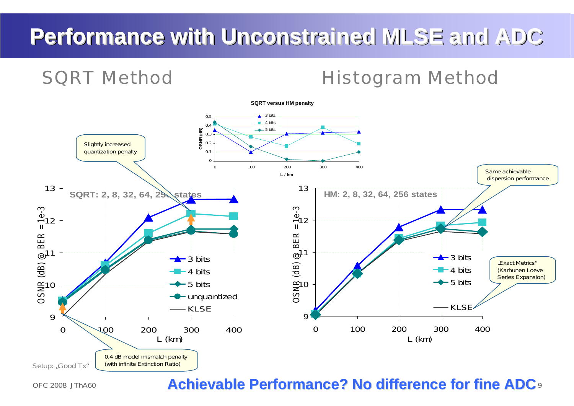## **8 Achievable Performance? No difference for fine ADC** *s*



# **Performance Performance Performance with Unconstrained MLSE and ADC with Unconstrained with Unconstrained MLSE and ADC MLSE and ADC**

## SQRT Method Histogram Method

**SQRT versus HM penalty**

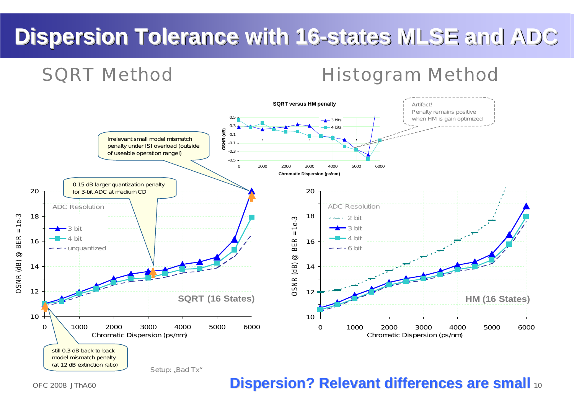# Dispersion Tolerance with 16-states MLSE and ADC

## SQRT Method Histogram Method

## 10 **Dispersion? Relevant Dispersion? Relevant differences are small differences are small**



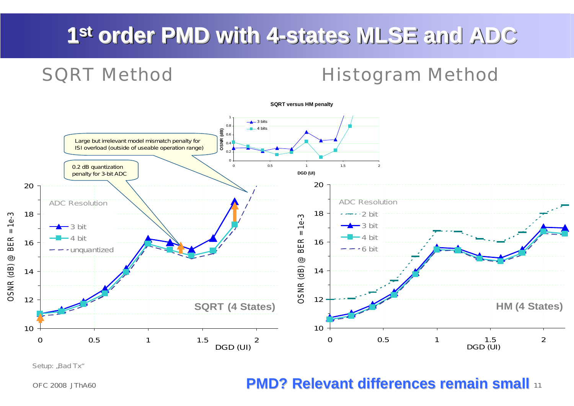## **10 PMD? Relevant differences remain small differences remain small**

# **1s<sup>t</sup> order PMD with 4-states MLSE and ADC st order PMD order PMD with 4-states MLSE and ADC MLSE and ADC**

## SQRT Method Histogram Method



**SQRT versus HM penalty**

Setup: "Bad Tx"